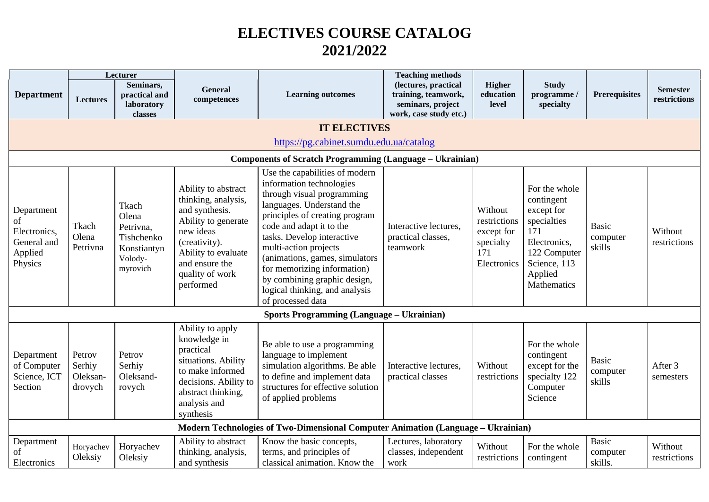## **ELECTIVES COURSE CATALOG 2021/2022**

|                                                                       |                                         | Lecturer                                                                        |                                                                                                                                                                                            |                                                                                                                                                                                                                                                                                                                                                                                                    | <b>Teaching methods</b>                                                                    |                                                                          |                                                                                                                                                  |                                    |                                 |
|-----------------------------------------------------------------------|-----------------------------------------|---------------------------------------------------------------------------------|--------------------------------------------------------------------------------------------------------------------------------------------------------------------------------------------|----------------------------------------------------------------------------------------------------------------------------------------------------------------------------------------------------------------------------------------------------------------------------------------------------------------------------------------------------------------------------------------------------|--------------------------------------------------------------------------------------------|--------------------------------------------------------------------------|--------------------------------------------------------------------------------------------------------------------------------------------------|------------------------------------|---------------------------------|
| <b>Department</b>                                                     | Lectures                                | Seminars,<br>practical and<br>laboratory<br>classes                             | <b>General</b><br>competences                                                                                                                                                              | <b>Learning outcomes</b>                                                                                                                                                                                                                                                                                                                                                                           | (lectures, practical<br>training, teamwork,<br>seminars, project<br>work, case study etc.) | <b>Higher</b><br>education<br>level                                      | <b>Study</b><br>programme /<br>specialty                                                                                                         | <b>Prerequisites</b>               | <b>Semester</b><br>restrictions |
|                                                                       |                                         |                                                                                 |                                                                                                                                                                                            | <b>IT ELECTIVES</b>                                                                                                                                                                                                                                                                                                                                                                                |                                                                                            |                                                                          |                                                                                                                                                  |                                    |                                 |
|                                                                       |                                         |                                                                                 |                                                                                                                                                                                            | https://pg.cabinet.sumdu.edu.ua/catalog                                                                                                                                                                                                                                                                                                                                                            |                                                                                            |                                                                          |                                                                                                                                                  |                                    |                                 |
|                                                                       |                                         |                                                                                 |                                                                                                                                                                                            | <b>Components of Scratch Programming (Language – Ukrainian)</b>                                                                                                                                                                                                                                                                                                                                    |                                                                                            |                                                                          |                                                                                                                                                  |                                    |                                 |
| Department<br>οf<br>Electronics,<br>General and<br>Applied<br>Physics | Tkach<br>Olena<br>Petrivna              | Tkach<br>Olena<br>Petrivna,<br>Tishchenko<br>Konstiantyn<br>Volody-<br>myrovich | Ability to abstract<br>thinking, analysis,<br>and synthesis.<br>Ability to generate<br>new ideas<br>(creativity).<br>Ability to evaluate<br>and ensure the<br>quality of work<br>performed | Use the capabilities of modern<br>information technologies<br>through visual programming<br>languages. Understand the<br>principles of creating program<br>code and adapt it to the<br>tasks. Develop interactive<br>multi-action projects<br>(animations, games, simulators<br>for memorizing information)<br>by combining graphic design,<br>logical thinking, and analysis<br>of processed data | Interactive lectures,<br>practical classes,<br>teamwork                                    | Without<br>restrictions<br>except for<br>specialty<br>171<br>Electronics | For the whole<br>contingent<br>except for<br>specialties<br>171<br>Electronics,<br>122 Computer<br>Science, 113<br>Applied<br><b>Mathematics</b> | <b>Basic</b><br>computer<br>skills | Without<br>restrictions         |
|                                                                       |                                         |                                                                                 |                                                                                                                                                                                            | <b>Sports Programming (Language – Ukrainian)</b>                                                                                                                                                                                                                                                                                                                                                   |                                                                                            |                                                                          |                                                                                                                                                  |                                    |                                 |
| Department<br>of Computer<br>Science, ICT<br>Section                  | Petrov<br>Serhiy<br>Oleksan-<br>drovych | Petrov<br>Serhiy<br>Oleksand-<br>rovych                                         | Ability to apply<br>knowledge in<br>practical<br>situations. Ability<br>to make informed<br>decisions. Ability to<br>abstract thinking,<br>analysis and<br>synthesis                       | Be able to use a programming<br>language to implement<br>simulation algorithms. Be able<br>to define and implement data<br>structures for effective solution<br>of applied problems                                                                                                                                                                                                                | Interactive lectures,<br>practical classes                                                 | Without<br>restrictions                                                  | For the whole<br>contingent<br>except for the<br>specialty 122<br>Computer<br>Science                                                            | <b>Basic</b><br>computer<br>skills | After 3<br>semesters            |
|                                                                       |                                         |                                                                                 |                                                                                                                                                                                            | Modern Technologies of Two-Dimensional Computer Animation (Language – Ukrainian)                                                                                                                                                                                                                                                                                                                   |                                                                                            |                                                                          |                                                                                                                                                  |                                    |                                 |
| Department<br>of<br>Electronics                                       | Horyachev<br>Oleksiy                    | Horyachev<br>Oleksiy                                                            | Ability to abstract<br>thinking, analysis,<br>and synthesis                                                                                                                                | Know the basic concepts,<br>terms, and principles of<br>classical animation. Know the                                                                                                                                                                                                                                                                                                              | Lectures, laboratory<br>classes, independent<br>work                                       | Without<br>restrictions                                                  | For the whole<br>contingent                                                                                                                      | Basic<br>computer<br>skills.       | Without<br>restrictions         |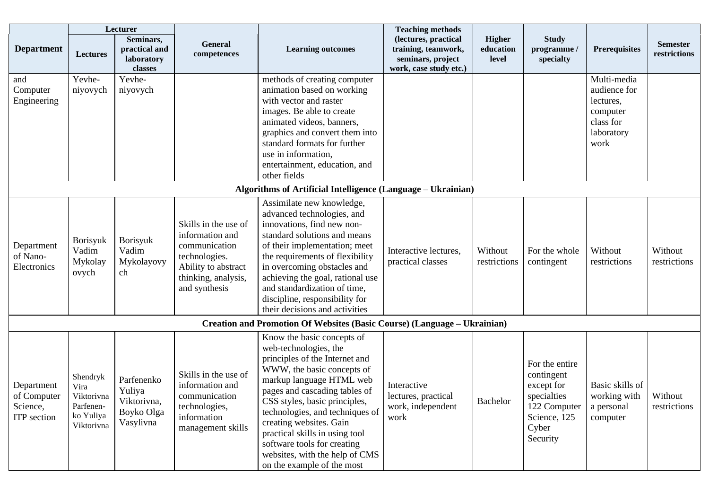|                                                      | Lecturer                                                               |                                                                |                                                                                                                                          |                                                                                                                                                                                                                                                                                                                                                                                                                  | <b>Teaching methods</b>                                                                    |                                     |                                                                                                                |                                                                                         |                                 |
|------------------------------------------------------|------------------------------------------------------------------------|----------------------------------------------------------------|------------------------------------------------------------------------------------------------------------------------------------------|------------------------------------------------------------------------------------------------------------------------------------------------------------------------------------------------------------------------------------------------------------------------------------------------------------------------------------------------------------------------------------------------------------------|--------------------------------------------------------------------------------------------|-------------------------------------|----------------------------------------------------------------------------------------------------------------|-----------------------------------------------------------------------------------------|---------------------------------|
| <b>Department</b>                                    | <b>Lectures</b>                                                        | Seminars,<br>practical and<br>laboratory<br>classes            | <b>General</b><br>competences                                                                                                            | <b>Learning outcomes</b>                                                                                                                                                                                                                                                                                                                                                                                         | (lectures, practical<br>training, teamwork,<br>seminars, project<br>work, case study etc.) | <b>Higher</b><br>education<br>level | <b>Study</b><br>programme /<br>specialty                                                                       | <b>Prerequisites</b>                                                                    | <b>Semester</b><br>restrictions |
| and<br>Computer<br>Engineering                       | Yevhe-<br>niyovych                                                     | Yevhe-<br>niyovych                                             |                                                                                                                                          | methods of creating computer<br>animation based on working<br>with vector and raster<br>images. Be able to create<br>animated videos, banners,<br>graphics and convert them into<br>standard formats for further<br>use in information,<br>entertainment, education, and<br>other fields                                                                                                                         |                                                                                            |                                     |                                                                                                                | Multi-media<br>audience for<br>lectures,<br>computer<br>class for<br>laboratory<br>work |                                 |
|                                                      |                                                                        |                                                                |                                                                                                                                          | Algorithms of Artificial Intelligence (Language – Ukrainian)                                                                                                                                                                                                                                                                                                                                                     |                                                                                            |                                     |                                                                                                                |                                                                                         |                                 |
| Department<br>of Nano-<br>Electronics                | Borisyuk<br>Vadim<br>Mykolay<br>ovych                                  | <b>Borisyuk</b><br>Vadim<br>Mykolayovy<br>ch                   | Skills in the use of<br>information and<br>communication<br>technologies.<br>Ability to abstract<br>thinking, analysis,<br>and synthesis | Assimilate new knowledge,<br>advanced technologies, and<br>innovations, find new non-<br>standard solutions and means<br>of their implementation; meet<br>the requirements of flexibility<br>in overcoming obstacles and<br>achieving the goal, rational use<br>and standardization of time,<br>discipline, responsibility for<br>their decisions and activities                                                 | Interactive lectures,<br>practical classes                                                 | Without<br>restrictions             | For the whole<br>contingent                                                                                    | Without<br>restrictions                                                                 | Without<br>restrictions         |
|                                                      |                                                                        |                                                                |                                                                                                                                          | Creation and Promotion Of Websites (Basic Course) (Language - Ukrainian)                                                                                                                                                                                                                                                                                                                                         |                                                                                            |                                     |                                                                                                                |                                                                                         |                                 |
| Department<br>of Computer<br>Science,<br>ITP section | Shendryk<br>Vira<br>Viktorivna<br>Parfenen-<br>ko Yuliya<br>Viktorivna | Parfenenko<br>Yuliya<br>Viktorivna,<br>Boyko Olga<br>Vasylivna | Skills in the use of<br>information and<br>communication<br>technologies,<br>information<br>management skills                            | Know the basic concepts of<br>web-technologies, the<br>principles of the Internet and<br>WWW, the basic concepts of<br>markup language HTML web<br>pages and cascading tables of<br>CSS styles, basic principles,<br>technologies, and techniques of<br>creating websites. Gain<br>practical skills in using tool<br>software tools for creating<br>websites, with the help of CMS<br>on the example of the most | Interactive<br>lectures, practical<br>work, independent<br>work                            | Bachelor                            | For the entire<br>contingent<br>except for<br>specialties<br>122 Computer<br>Science, 125<br>Cyber<br>Security | Basic skills of<br>working with<br>a personal<br>computer                               | Without<br>restrictions         |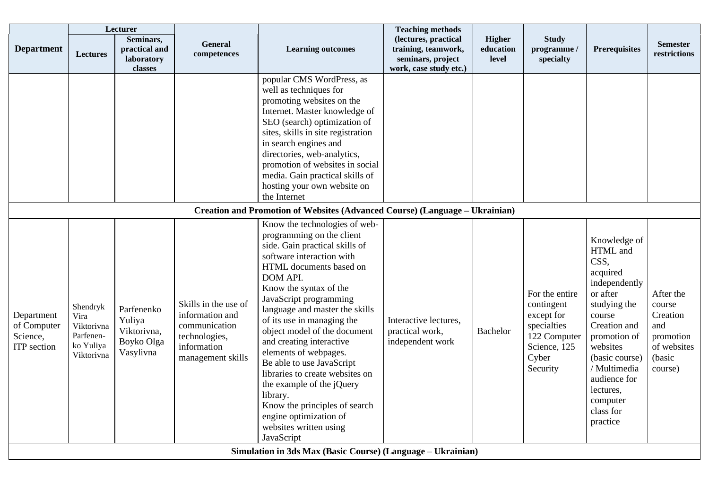| Lecturer                                             |                                                                        |                                                                |                                                                                                               | <b>Teaching methods</b>                                                                                                                                                                                                                                                                                                                                                                                                                                                                                                                                                               |                                                                                            |                                     |                                                                                                                |                                                                                                                                                                                                                                                     |                                                                                         |
|------------------------------------------------------|------------------------------------------------------------------------|----------------------------------------------------------------|---------------------------------------------------------------------------------------------------------------|---------------------------------------------------------------------------------------------------------------------------------------------------------------------------------------------------------------------------------------------------------------------------------------------------------------------------------------------------------------------------------------------------------------------------------------------------------------------------------------------------------------------------------------------------------------------------------------|--------------------------------------------------------------------------------------------|-------------------------------------|----------------------------------------------------------------------------------------------------------------|-----------------------------------------------------------------------------------------------------------------------------------------------------------------------------------------------------------------------------------------------------|-----------------------------------------------------------------------------------------|
| <b>Department</b>                                    | <b>Lectures</b>                                                        | Seminars,<br>practical and<br>laboratory<br>classes            | <b>General</b><br>competences                                                                                 | <b>Learning outcomes</b>                                                                                                                                                                                                                                                                                                                                                                                                                                                                                                                                                              | (lectures, practical<br>training, teamwork,<br>seminars, project<br>work, case study etc.) | <b>Higher</b><br>education<br>level | <b>Study</b><br>programme /<br>specialty                                                                       | <b>Prerequisites</b>                                                                                                                                                                                                                                | <b>Semester</b><br>restrictions                                                         |
|                                                      |                                                                        |                                                                |                                                                                                               | popular CMS WordPress, as<br>well as techniques for<br>promoting websites on the<br>Internet. Master knowledge of<br>SEO (search) optimization of<br>sites, skills in site registration<br>in search engines and<br>directories, web-analytics,<br>promotion of websites in social<br>media. Gain practical skills of<br>hosting your own website on<br>the Internet                                                                                                                                                                                                                  |                                                                                            |                                     |                                                                                                                |                                                                                                                                                                                                                                                     |                                                                                         |
|                                                      |                                                                        |                                                                |                                                                                                               | Creation and Promotion of Websites (Advanced Course) (Language - Ukrainian)                                                                                                                                                                                                                                                                                                                                                                                                                                                                                                           |                                                                                            |                                     |                                                                                                                |                                                                                                                                                                                                                                                     |                                                                                         |
| Department<br>of Computer<br>Science,<br>ITP section | Shendryk<br>Vira<br>Viktorivna<br>Parfenen-<br>ko Yuliya<br>Viktorivna | Parfenenko<br>Yuliya<br>Viktorivna,<br>Boyko Olga<br>Vasylivna | Skills in the use of<br>information and<br>communication<br>technologies,<br>information<br>management skills | Know the technologies of web-<br>programming on the client<br>side. Gain practical skills of<br>software interaction with<br>HTML documents based on<br>DOM API.<br>Know the syntax of the<br>JavaScript programming<br>language and master the skills<br>of its use in managing the<br>object model of the document<br>and creating interactive<br>elements of webpages.<br>Be able to use JavaScript<br>libraries to create websites on<br>the example of the jQuery<br>library.<br>Know the principles of search<br>engine optimization of<br>websites written using<br>JavaScript | Interactive lectures,<br>practical work,<br>independent work                               | <b>Bachelor</b>                     | For the entire<br>contingent<br>except for<br>specialties<br>122 Computer<br>Science, 125<br>Cyber<br>Security | Knowledge of<br>HTML and<br>CSS,<br>acquired<br>independently<br>or after<br>studying the<br>course<br>Creation and<br>promotion of<br>websites<br>(basic course)<br>/ Multimedia<br>audience for<br>lectures,<br>computer<br>class for<br>practice | After the<br>course<br>Creation<br>and<br>promotion<br>of websites<br>(basic<br>course) |
|                                                      |                                                                        |                                                                |                                                                                                               | Simulation in 3ds Max (Basic Course) (Language – Ukrainian)                                                                                                                                                                                                                                                                                                                                                                                                                                                                                                                           |                                                                                            |                                     |                                                                                                                |                                                                                                                                                                                                                                                     |                                                                                         |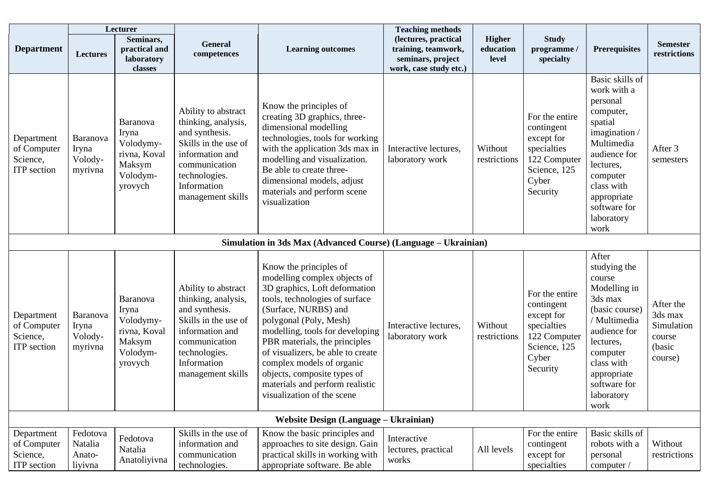|                                                             |                                          | Lecturer                                                                               |                                                                                                                                                                               |                                                                                                                                                                                                                                                                                                                                                                                                                   | <b>Teaching methods</b>                                                                    |                              |                                                                                                                |                                                                                                                                                                                                               |                                                                   |
|-------------------------------------------------------------|------------------------------------------|----------------------------------------------------------------------------------------|-------------------------------------------------------------------------------------------------------------------------------------------------------------------------------|-------------------------------------------------------------------------------------------------------------------------------------------------------------------------------------------------------------------------------------------------------------------------------------------------------------------------------------------------------------------------------------------------------------------|--------------------------------------------------------------------------------------------|------------------------------|----------------------------------------------------------------------------------------------------------------|---------------------------------------------------------------------------------------------------------------------------------------------------------------------------------------------------------------|-------------------------------------------------------------------|
| <b>Department</b>                                           | Lectures                                 | Seminars,<br>practical and<br>laboratory<br>classes                                    | <b>General</b><br>competences                                                                                                                                                 | <b>Learning outcomes</b>                                                                                                                                                                                                                                                                                                                                                                                          | (lectures, practical<br>training, teamwork,<br>seminars, project<br>work, case study etc.) | Higher<br>education<br>level | <b>Study</b><br>programme /<br>specialty                                                                       | <b>Prerequisites</b>                                                                                                                                                                                          | <b>Semester</b><br>restrictions                                   |
| Department<br>of Computer<br>Science,<br><b>ITP</b> section | Baranova<br>Iryna<br>Volody-<br>myrivna  | <b>Baranova</b><br>Iryna<br>Volodymy-<br>rivna, Koval<br>Maksym<br>Volodym-<br>yrovych | Ability to abstract<br>thinking, analysis,<br>and synthesis.<br>Skills in the use of<br>information and<br>communication<br>technologies.<br>Information<br>management skills | Know the principles of<br>creating 3D graphics, three-<br>dimensional modelling<br>technologies, tools for working<br>with the application 3ds max in<br>modelling and visualization.<br>Be able to create three-<br>dimensional models, adjust<br>materials and perform scene<br>visualization                                                                                                                   | Interactive lectures,<br>laboratory work                                                   | Without<br>restrictions      | For the entire<br>contingent<br>except for<br>specialties<br>122 Computer<br>Science, 125<br>Cyber<br>Security | Basic skills of<br>work with a<br>personal<br>computer,<br>spatial<br>imagination /<br>Multimedia<br>audience for<br>lectures,<br>computer<br>class with<br>appropriate<br>software for<br>laboratory<br>work | After 3<br>semesters                                              |
|                                                             |                                          |                                                                                        |                                                                                                                                                                               | Simulation in 3ds Max (Advanced Course) (Language – Ukrainian)                                                                                                                                                                                                                                                                                                                                                    |                                                                                            |                              |                                                                                                                |                                                                                                                                                                                                               |                                                                   |
| Department<br>of Computer<br>Science,<br><b>ITP</b> section | Baranova<br>Iryna<br>Volody-<br>myrivna  | <b>Baranova</b><br>Iryna<br>Volodymy-<br>rivna, Koval<br>Maksym<br>Volodym-<br>yrovych | Ability to abstract<br>thinking, analysis,<br>and synthesis.<br>Skills in the use of<br>information and<br>communication<br>technologies.<br>Information<br>management skills | Know the principles of<br>modelling complex objects of<br>3D graphics, Loft deformation<br>tools, technologies of surface<br>(Surface, NURBS) and<br>polygonal (Poly, Mesh)<br>modelling, tools for developing<br>PBR materials, the principles<br>of visualizers, be able to create<br>complex models of organic<br>objects, composite types of<br>materials and perform realistic<br>visualization of the scene | Interactive lectures,<br>laboratory work                                                   | Without<br>restrictions      | For the entire<br>contingent<br>except for<br>specialties<br>122 Computer<br>Science, 125<br>Cyber<br>Security | After<br>studying the<br>course<br>Modelling in<br>3ds max<br>(basic course)<br>/ Multimedia<br>audience for<br>lectures,<br>computer<br>class with<br>appropriate<br>software for<br>laboratory<br>work      | After the<br>3ds max<br>Simulation<br>course<br>(basic<br>course) |
|                                                             |                                          |                                                                                        |                                                                                                                                                                               | <b>Website Design (Language – Ukrainian)</b>                                                                                                                                                                                                                                                                                                                                                                      |                                                                                            |                              |                                                                                                                |                                                                                                                                                                                                               |                                                                   |
| Department<br>of Computer<br>Science,<br>ITP section        | Fedotova<br>Natalia<br>Anato-<br>liyivna | Fedotova<br>Natalia<br>Anatoliyivna                                                    | Skills in the use of<br>information and<br>communication<br>technologies.                                                                                                     | Know the basic principles and<br>approaches to site design. Gain<br>practical skills in working with<br>appropriate software. Be able                                                                                                                                                                                                                                                                             | Interactive<br>lectures, practical<br>works                                                | All levels                   | For the entire<br>contingent<br>except for<br>specialties                                                      | Basic skills of<br>robots with a<br>personal<br>computer /                                                                                                                                                    | Without<br>restrictions                                           |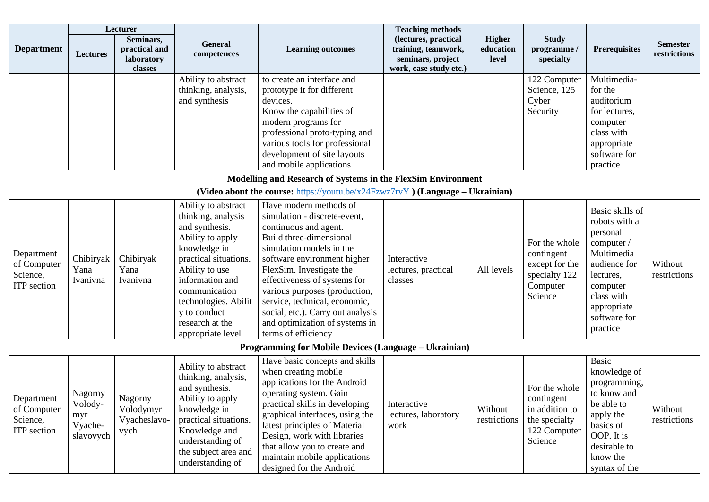| Lecturer                                                    |                                                   |                                                     |                                                                                                                                                                                                                                                                | <b>Teaching methods</b>                                                                                                                                                                                                                                                                                                                                                                           |                                                                                            |                              |                                                                                           |                                                                                                                                                                            |                                 |
|-------------------------------------------------------------|---------------------------------------------------|-----------------------------------------------------|----------------------------------------------------------------------------------------------------------------------------------------------------------------------------------------------------------------------------------------------------------------|---------------------------------------------------------------------------------------------------------------------------------------------------------------------------------------------------------------------------------------------------------------------------------------------------------------------------------------------------------------------------------------------------|--------------------------------------------------------------------------------------------|------------------------------|-------------------------------------------------------------------------------------------|----------------------------------------------------------------------------------------------------------------------------------------------------------------------------|---------------------------------|
| <b>Department</b>                                           | <b>Lectures</b>                                   | Seminars,<br>practical and<br>laboratory<br>classes | <b>General</b><br>competences                                                                                                                                                                                                                                  | <b>Learning outcomes</b>                                                                                                                                                                                                                                                                                                                                                                          | (lectures, practical<br>training, teamwork,<br>seminars, project<br>work, case study etc.) | Higher<br>education<br>level | <b>Study</b><br>programme /<br>specialty                                                  | <b>Prerequisites</b>                                                                                                                                                       | <b>Semester</b><br>restrictions |
|                                                             |                                                   |                                                     | Ability to abstract<br>thinking, analysis,<br>and synthesis                                                                                                                                                                                                    | to create an interface and<br>prototype it for different<br>devices.<br>Know the capabilities of<br>modern programs for<br>professional proto-typing and<br>various tools for professional<br>development of site layouts<br>and mobile applications                                                                                                                                              |                                                                                            |                              | 122 Computer<br>Science, 125<br>Cyber<br>Security                                         | Multimedia-<br>for the<br>auditorium<br>for lectures,<br>computer<br>class with<br>appropriate<br>software for<br>practice                                                 |                                 |
|                                                             |                                                   |                                                     |                                                                                                                                                                                                                                                                | Modelling and Research of Systems in the FlexSim Environment<br>(Video about the course: https://youtu.be/x24Fzwz7rvY) (Language – Ukrainian)                                                                                                                                                                                                                                                     |                                                                                            |                              |                                                                                           |                                                                                                                                                                            |                                 |
| Department<br>of Computer<br>Science,<br><b>ITP</b> section | Chibiryak<br>Yana<br>Ivanivna                     | Chibiryak<br>Yana<br>Ivanivna                       | Ability to abstract<br>thinking, analysis<br>and synthesis.<br>Ability to apply<br>knowledge in<br>practical situations.<br>Ability to use<br>information and<br>communication<br>technologies. Abilit<br>y to conduct<br>research at the<br>appropriate level | Have modern methods of<br>simulation - discrete-event,<br>continuous and agent.<br>Build three-dimensional<br>simulation models in the<br>software environment higher<br>FlexSim. Investigate the<br>effectiveness of systems for<br>various purposes (production,<br>service, technical, economic,<br>social, etc.). Carry out analysis<br>and optimization of systems in<br>terms of efficiency | Interactive<br>lectures, practical<br>classes                                              | All levels                   | For the whole<br>contingent<br>except for the<br>specialty 122<br>Computer<br>Science     | Basic skills of<br>robots with a<br>personal<br>computer /<br>Multimedia<br>audience for<br>lectures,<br>computer<br>class with<br>appropriate<br>software for<br>practice | Without<br>restrictions         |
|                                                             |                                                   |                                                     |                                                                                                                                                                                                                                                                | <b>Programming for Mobile Devices (Language – Ukrainian)</b>                                                                                                                                                                                                                                                                                                                                      |                                                                                            |                              |                                                                                           |                                                                                                                                                                            |                                 |
| Department<br>of Computer<br>Science,<br>ITP section        | Nagorny<br>Volody-<br>myr<br>Vyache-<br>slavovych | Nagorny<br>Volodymyr<br>Vyacheslavo-<br>vych        | Ability to abstract<br>thinking, analysis,<br>and synthesis.<br>Ability to apply<br>knowledge in<br>practical situations.<br>Knowledge and<br>understanding of<br>the subject area and<br>understanding of                                                     | Have basic concepts and skills<br>when creating mobile<br>applications for the Android<br>operating system. Gain<br>practical skills in developing<br>graphical interfaces, using the<br>latest principles of Material<br>Design, work with libraries<br>that allow you to create and<br>maintain mobile applications<br>designed for the Android                                                 | Interactive<br>lectures, laboratory<br>work                                                | Without<br>restrictions      | For the whole<br>contingent<br>in addition to<br>the specialty<br>122 Computer<br>Science | Basic<br>knowledge of<br>programming,<br>to know and<br>be able to<br>apply the<br>basics of<br>OOP. It is<br>desirable to<br>know the<br>syntax of the                    | Without<br>restrictions         |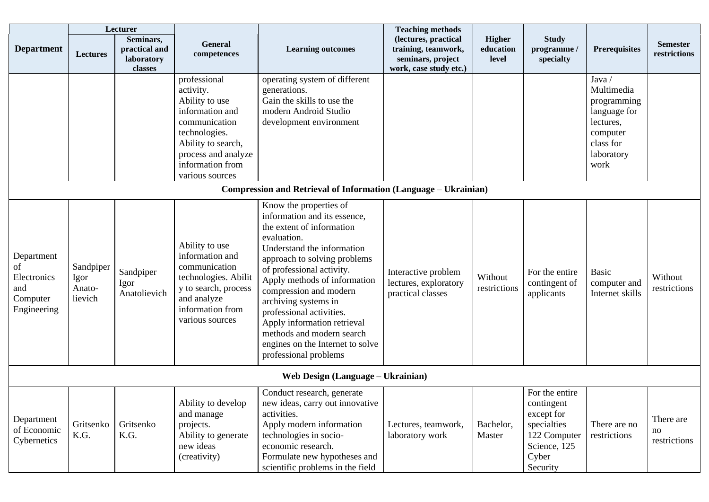|                                                                   |                                        | Lecturer                                            |                                                                                                                                                                                      |                                                                                                                                                                                                                                                                                                                                                                                                                                      | <b>Teaching methods</b>                                                                    |                                     |                                                                                                                |                                                                                                                |                                 |  |
|-------------------------------------------------------------------|----------------------------------------|-----------------------------------------------------|--------------------------------------------------------------------------------------------------------------------------------------------------------------------------------------|--------------------------------------------------------------------------------------------------------------------------------------------------------------------------------------------------------------------------------------------------------------------------------------------------------------------------------------------------------------------------------------------------------------------------------------|--------------------------------------------------------------------------------------------|-------------------------------------|----------------------------------------------------------------------------------------------------------------|----------------------------------------------------------------------------------------------------------------|---------------------------------|--|
| <b>Department</b>                                                 | <b>Lectures</b>                        | Seminars,<br>practical and<br>laboratory<br>classes | General<br>competences                                                                                                                                                               | <b>Learning outcomes</b>                                                                                                                                                                                                                                                                                                                                                                                                             | (lectures, practical<br>training, teamwork,<br>seminars, project<br>work, case study etc.) | <b>Higher</b><br>education<br>level | <b>Study</b><br>programme /<br>specialty                                                                       | Prerequisites                                                                                                  | <b>Semester</b><br>restrictions |  |
|                                                                   |                                        |                                                     | professional<br>activity.<br>Ability to use<br>information and<br>communication<br>technologies.<br>Ability to search,<br>process and analyze<br>information from<br>various sources | operating system of different<br>generations.<br>Gain the skills to use the<br>modern Android Studio<br>development environment                                                                                                                                                                                                                                                                                                      |                                                                                            |                                     |                                                                                                                | Java/<br>Multimedia<br>programming<br>language for<br>lectures,<br>computer<br>class for<br>laboratory<br>work |                                 |  |
|                                                                   |                                        |                                                     |                                                                                                                                                                                      | Compression and Retrieval of Information (Language - Ukrainian)                                                                                                                                                                                                                                                                                                                                                                      |                                                                                            |                                     |                                                                                                                |                                                                                                                |                                 |  |
| Department<br>of<br>Electronics<br>and<br>Computer<br>Engineering | Sandpiper<br>Igor<br>Anato-<br>lievich | Sandpiper<br>Igor<br>Anatolievich                   | Ability to use<br>information and<br>communication<br>technologies. Abilit<br>y to search, process<br>and analyze<br>information from<br>various sources                             | Know the properties of<br>information and its essence,<br>the extent of information<br>evaluation.<br>Understand the information<br>approach to solving problems<br>of professional activity.<br>Apply methods of information<br>compression and modern<br>archiving systems in<br>professional activities.<br>Apply information retrieval<br>methods and modern search<br>engines on the Internet to solve<br>professional problems | Interactive problem<br>lectures, exploratory<br>practical classes                          | Without<br>restrictions             | For the entire<br>contingent of<br>applicants                                                                  | Basic<br>computer and<br>Internet skills                                                                       | Without<br>restrictions         |  |
| Web Design (Language – Ukrainian)                                 |                                        |                                                     |                                                                                                                                                                                      |                                                                                                                                                                                                                                                                                                                                                                                                                                      |                                                                                            |                                     |                                                                                                                |                                                                                                                |                                 |  |
| Department<br>of Economic<br>Cybernetics                          | Gritsenko<br>K.G.                      | Gritsenko<br>K.G.                                   | Ability to develop<br>and manage<br>projects.<br>Ability to generate<br>new ideas<br>(creativity)                                                                                    | Conduct research, generate<br>new ideas, carry out innovative<br>activities.<br>Apply modern information<br>technologies in socio-<br>economic research.<br>Formulate new hypotheses and<br>scientific problems in the field                                                                                                                                                                                                         | Lectures, teamwork,<br>laboratory work                                                     | Bachelor,<br>Master                 | For the entire<br>contingent<br>except for<br>specialties<br>122 Computer<br>Science, 125<br>Cyber<br>Security | There are no<br>restrictions                                                                                   | There are<br>no<br>restrictions |  |